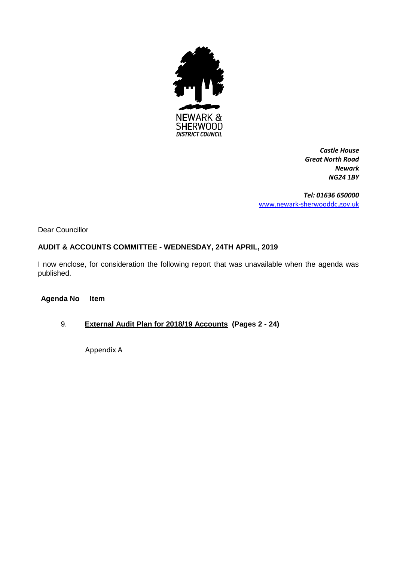

*Castle House Great North Road Newark NG24 1BY*

*Tel: 01636 650000* [www.newark-sherwooddc.gov.uk](http://www.newark-sherwooddc.gov.uk/)

Dear Councillor

#### **AUDIT & ACCOUNTS COMMITTEE - WEDNESDAY, 24TH APRIL, 2019**

I now enclose, for consideration the following report that was unavailable when the agenda was published.

#### **Agenda No Item**

#### 9. **External Audit Plan for 2018/19 Accounts (Pages 2 - 24)**

Appendix A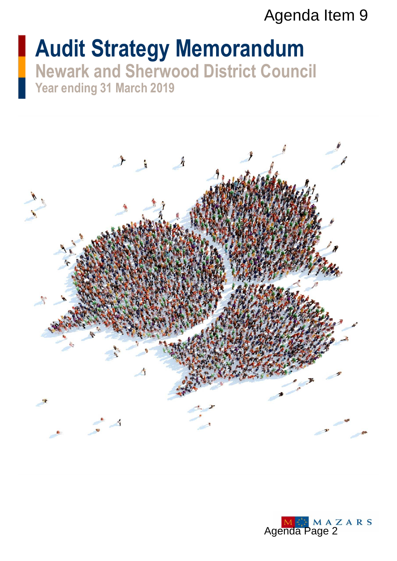Agenda Item 9

# **Audit Strategy Memorandum Newark and Sherwood District Council Year ending 31 March 2019**



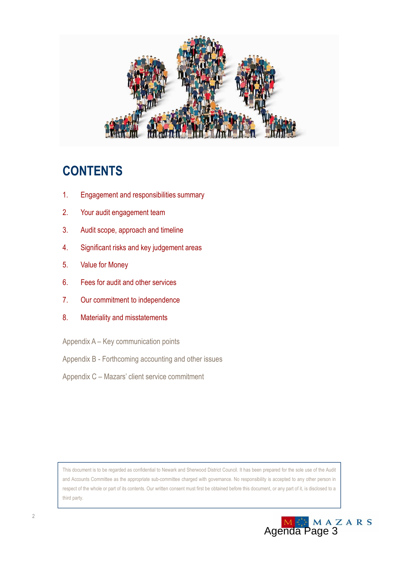

### **CONTENTS**

- 1. Engagement and responsibilities summary
- 2. Your audit engagement team
- 3. Audit scope, approach and timeline
- 4. Significant risks and key judgement areas
- 5. Value for Money
- 6. Fees for audit and other services
- 7. Our commitment to independence
- 8. Materiality and misstatements
- Appendix A Key communication points
- Appendix B Forthcoming accounting and other issues
- Appendix C Mazars' client service commitment

This document is to be regarded as confidential to Newark and Sherwood District Council. It has been prepared for the sole use of the Audit and Accounts Committee as the appropriate sub-committee charged with governance. No responsibility is accepted to any other person in respect of the whole or part of its contents. Our written consent must first be obtained before this document, or any part of it, is disclosed to a third party.

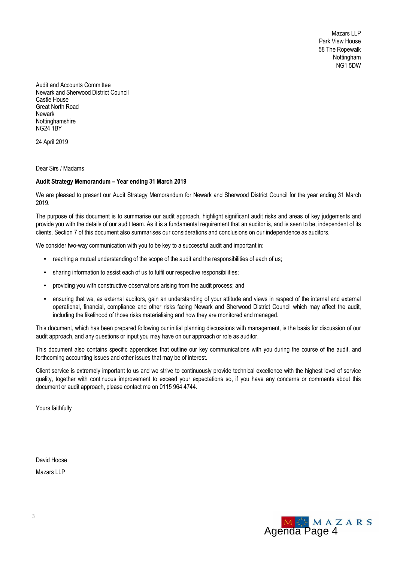Mazars LLP Park View House 58 The Ropewalk **Nottingham** NG1 5DW

Audit and Accounts Committee Newark and Sherwood District Council Castle House Great North Road Newark Nottinghamshire NG24 1BY

24 April 2019

Dear Sirs / Madams

#### **Audit Strategy Memorandum – Year ending 31 March 2019**

We are pleased to present our Audit Strategy Memorandum for Newark and Sherwood District Council for the year ending 31 March 2019.

The purpose of this document is to summarise our audit approach, highlight significant audit risks and areas of key judgements and provide you with the details of our audit team. As it is a fundamental requirement that an auditor is, and is seen to be, independent of its clients, Section 7 of this document also summarises our considerations and conclusions on our independence as auditors.

We consider two-way communication with you to be key to a successful audit and important in:

- reaching a mutual understanding of the scope of the audit and the responsibilities of each of us;
- sharing information to assist each of us to fulfil our respective responsibilities;
- providing you with constructive observations arising from the audit process; and
- ensuring that we, as external auditors, gain an understanding of your attitude and views in respect of the internal and external operational, financial, compliance and other risks facing Newark and Sherwood District Council which may affect the audit, including the likelihood of those risks materialising and how they are monitored and managed.

This document, which has been prepared following our initial planning discussions with management, is the basis for discussion of our audit approach, and any questions or input you may have on our approach or role as auditor.

This document also contains specific appendices that outline our key communications with you during the course of the audit, and forthcoming accounting issues and other issues that may be of interest.

Client service is extremely important to us and we strive to continuously provide technical excellence with the highest level of service quality, together with continuous improvement to exceed your expectations so, if you have any concerns or comments about this document or audit approach, please contact me on 0115 964 4744.

Yours faithfully

David Hoose

Mazars LLP

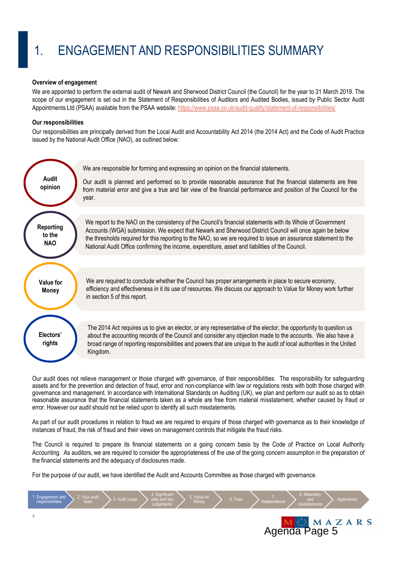## 1. ENGAGEMENT AND RESPONSIBILITIES SUMMARY

#### **Overview of engagement**

We are appointed to perform the external audit of Newark and Sherwood District Council (the Council) for the year to 31 March 2019. The scope of our engagement is set out in the Statement of Responsibilities of Auditors and Audited Bodies, issued by Public Sector Audit Appointments Ltd (PSAA) available from the PSAA website: https://www.psaa.co.uk/audit-quality/statement-of-responsibilities/

#### **Our responsibilities**

Our responsibilities are principally derived from the Local Audit and Accountability Act 2014 (the 2014 Act) and the Code of Audit Practice issued by the National Audit Office (NAO), as outlined below:



Our audit does not relieve management or those charged with governance, of their responsibilities. The responsibility for safeguarding assets and for the prevention and detection of fraud, error and non-compliance with law or regulations rests with both those charged with governance and management. In accordance with International Standards on Auditing (UK), we plan and perform our audit so as to obtain reasonable assurance that the financial statements taken as a whole are free from material misstatement, whether caused by fraud or error. However our audit should not be relied upon to identify all such misstatements.

As part of our audit procedures in relation to fraud we are required to enquire of those charged with governance as to their knowledge of instances of fraud, the risk of fraud and their views on management controls that mitigate the fraud risks.

The Council is required to prepare its financial statements on a going concern basis by the Code of Practice on Local Authority Accounting. As auditors, we are required to consider the appropriateness of the use of the going concern assumption in the preparation of the financial statements and the adequacy of disclosures made.

For the purpose of our audit, we have identified the Audit and Accounts Committee as those charged with governance.

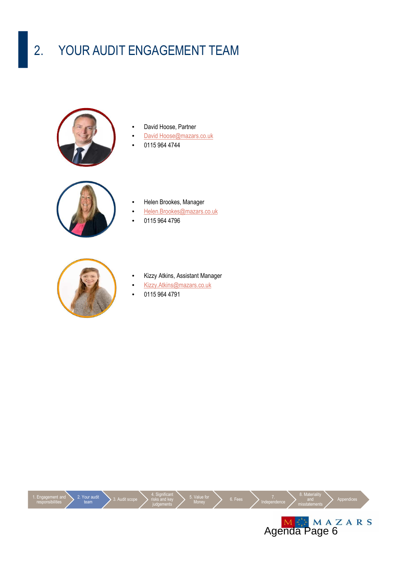# 2. YOUR AUDIT ENGAGEMENT TEAM



- David Hoose, Partner
- David Hoose@mazars.co.uk
- 0115 964 4744



- Helen Brookes, Manager
- Helen.Brookes@mazars.co.uk
- 0115 964 4796



- Kizzy Atkins, Assistant Manager
- Kizzy.Atkins@mazars.co.uk
- 0115 964 4791

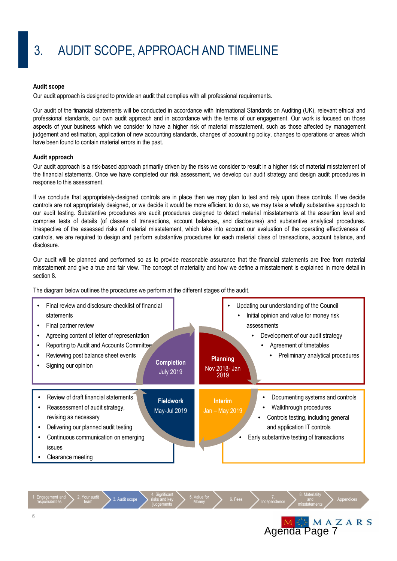# 3. AUDIT SCOPE, APPROACH AND TIMELINE

#### **Audit scope**

Our audit approach is designed to provide an audit that complies with all professional requirements.

Our audit of the financial statements will be conducted in accordance with International Standards on Auditing (UK), relevant ethical and professional standards, our own audit approach and in accordance with the terms of our engagement. Our work is focused on those aspects of your business which we consider to have a higher risk of material misstatement, such as those affected by management judgement and estimation, application of new accounting standards, changes of accounting policy, changes to operations or areas which have been found to contain material errors in the past.

#### **Audit approach**

Our audit approach is a risk-based approach primarily driven by the risks we consider to result in a higher risk of material misstatement of the financial statements. Once we have completed our risk assessment, we develop our audit strategy and design audit procedures in response to this assessment.

If we conclude that appropriately-designed controls are in place then we may plan to test and rely upon these controls. If we decide controls are not appropriately designed, or we decide it would be more efficient to do so, we may take a wholly substantive approach to our audit testing. Substantive procedures are audit procedures designed to detect material misstatements at the assertion level and comprise tests of details (of classes of transactions, account balances, and disclosures) and substantive analytical procedures. Irrespective of the assessed risks of material misstatement, which take into account our evaluation of the operating effectiveness of controls, we are required to design and perform substantive procedures for each material class of transactions, account balance, and disclosure.

Our audit will be planned and performed so as to provide reasonable assurance that the financial statements are free from material misstatement and give a true and fair view. The concept of materiality and how we define a misstatement is explained in more detail in section 8.

The diagram below outlines the procedures we perform at the different stages of the audit.



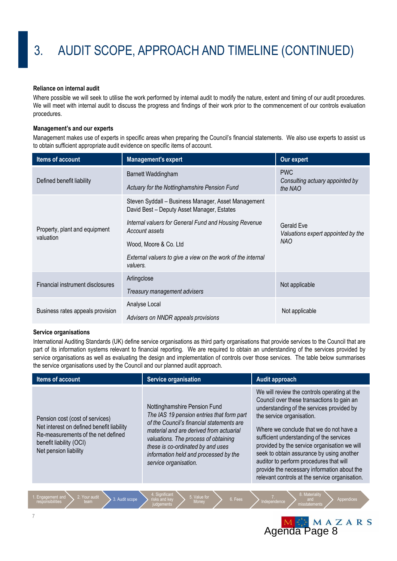#### **Reliance on internal audit**

Where possible we will seek to utilise the work performed by internal audit to modify the nature, extent and timing of our audit procedures. We will meet with internal audit to discuss the progress and findings of their work prior to the commencement of our controls evaluation procedures.

#### **Management's and our experts**

Management makes use of experts in specific areas when preparing the Council's financial statements. We also use experts to assist us to obtain sufficient appropriate audit evidence on specific items of account.

| Items of account                           | <b>Management's expert</b>                                                                                                                                                                                                                                                        | Our expert                                                     |  |
|--------------------------------------------|-----------------------------------------------------------------------------------------------------------------------------------------------------------------------------------------------------------------------------------------------------------------------------------|----------------------------------------------------------------|--|
| Defined benefit liability                  | Barnett Waddingham<br>Actuary for the Nottinghamshire Pension Fund                                                                                                                                                                                                                | <b>PWC</b><br>Consulting actuary appointed by<br>the NAO       |  |
| Property, plant and equipment<br>valuation | Steven Syddall - Business Manager, Asset Management<br>David Best - Deputy Asset Manager, Estates<br>Internal valuers for General Fund and Housing Revenue<br>Account assets<br>Wood, Moore & Co. Ltd.<br>External valuers to give a view on the work of the internal<br>valuers. | Gerald Eve<br>Valuations expert appointed by the<br><b>NAO</b> |  |
| Financial instrument disclosures           | Arlingclose<br>Treasury management advisers                                                                                                                                                                                                                                       | Not applicable                                                 |  |
| Business rates appeals provision           | Analyse Local<br>Advisers on NNDR appeals provisions                                                                                                                                                                                                                              | Not applicable                                                 |  |

#### **Service organisations**

International Auditing Standards (UK) define service organisations as third party organisations that provide services to the Council that are part of its information systems relevant to financial reporting. We are required to obtain an understanding of the services provided by service organisations as well as evaluating the design and implementation of controls over those services. The table below summarises the service organisations used by the Council and our planned audit approach.

| Items of account                                                                                                                                                       | <b>Service organisation</b>                                                                                                                                                                                                                                                                                      | <b>Audit approach</b>                                                                                                                                                                                                                                                                                                                                                                                                                                                                                |
|------------------------------------------------------------------------------------------------------------------------------------------------------------------------|------------------------------------------------------------------------------------------------------------------------------------------------------------------------------------------------------------------------------------------------------------------------------------------------------------------|------------------------------------------------------------------------------------------------------------------------------------------------------------------------------------------------------------------------------------------------------------------------------------------------------------------------------------------------------------------------------------------------------------------------------------------------------------------------------------------------------|
| Pension cost (cost of services)<br>Net interest on defined benefit liability<br>Re-measurements of the net defined<br>benefit liability (OCI)<br>Net pension liability | Nottinghamshire Pension Fund<br>The IAS 19 pension entries that form part<br>of the Council's financial statements are<br>material and are derived from actuarial<br>valuations. The process of obtaining<br>these is co-ordinated by and uses<br>information held and processed by the<br>service organisation. | We will review the controls operating at the<br>Council over these transactions to gain an<br>understanding of the services provided by<br>the service organisation.<br>Where we conclude that we do not have a<br>sufficient understanding of the services<br>provided by the service organisation we will<br>seek to obtain assurance by using another<br>auditor to perform procedures that will<br>provide the necessary information about the<br>relevant controls at the service organisation. |
| 2. Your audit<br>Engagement and                                                                                                                                        | 4. Significant,<br>5. Value for                                                                                                                                                                                                                                                                                  | 8. Materiality                                                                                                                                                                                                                                                                                                                                                                                                                                                                                       |
| 3. Audit scope<br>responsibilities<br>team                                                                                                                             | 6. Fees<br>risks and key<br>Money<br>udaamanta                                                                                                                                                                                                                                                                   | Appendices<br>and<br>Independence<br>migatatamanta                                                                                                                                                                                                                                                                                                                                                                                                                                                   |

judgements

MEE MAZARS<br>Agenda Page 8

misstatements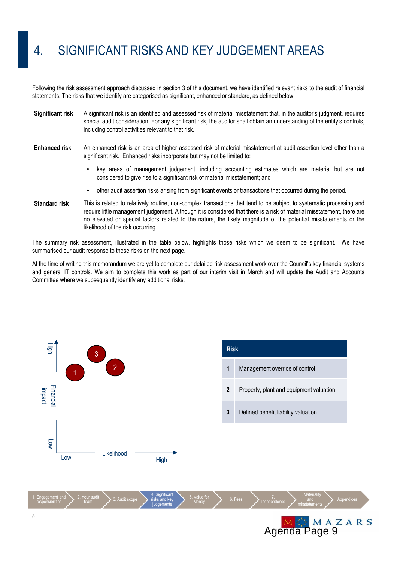### 4. SIGNIFICANT RISKS AND KEY JUDGEMENT AREAS

Following the risk assessment approach discussed in section 3 of this document, we have identified relevant risks to the audit of financial statements. The risks that we identify are categorised as significant, enhanced or standard, as defined below:

- **Significant risk** A significant risk is an identified and assessed risk of material misstatement that, in the auditor's judgment, requires special audit consideration. For any significant risk, the auditor shall obtain an understanding of the entity's controls, including control activities relevant to that risk.
- **Enhanced risk** An enhanced risk is an area of higher assessed risk of material misstatement at audit assertion level other than a significant risk. Enhanced risks incorporate but may not be limited to:
	- key areas of management judgement, including accounting estimates which are material but are not considered to give rise to a significant risk of material misstatement; and
	- other audit assertion risks arising from significant events or transactions that occurred during the period.
- **Standard risk** This is related to relatively routine, non-complex transactions that tend to be subject to systematic processing and require little management judgement. Although it is considered that there is a risk of material misstatement, there are no elevated or special factors related to the nature, the likely magnitude of the potential misstatements or the likelihood of the risk occurring.

The summary risk assessment, illustrated in the table below, highlights those risks which we deem to be significant. We have summarised our audit response to these risks on the next page.

At the time of writing this memorandum we are yet to complete our detailed risk assessment work over the Council's key financial systems and general IT controls. We aim to complete this work as part of our interim visit in March and will update the Audit and Accounts Committee where we subsequently identify any additional risks.

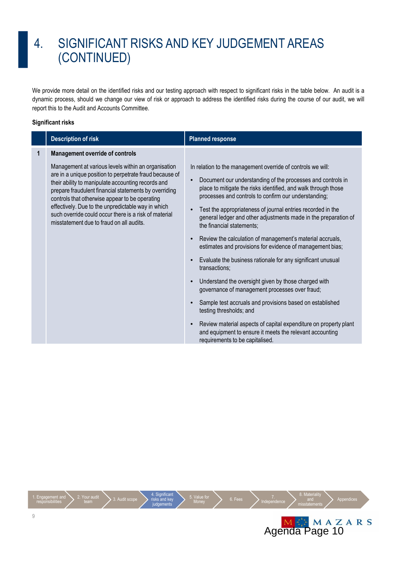### 4. SIGNIFICANT RISKS AND KEY JUDGEMENT AREAS (CONTINUED)

We provide more detail on the identified risks and our testing approach with respect to significant risks in the table below. An audit is a dynamic process, should we change our view of risk or approach to address the identified risks during the course of our audit, we will report this to the Audit and Accounts Committee.

#### **Significant risks**

|   | <b>Description of risk</b>                                                                                                                                                                                                                                                                                                                                                                                                                                                           | <b>Planned response</b>                                                                                                                                                                                                                                                                                                                                                                                                                                                                                                                       |  |  |
|---|--------------------------------------------------------------------------------------------------------------------------------------------------------------------------------------------------------------------------------------------------------------------------------------------------------------------------------------------------------------------------------------------------------------------------------------------------------------------------------------|-----------------------------------------------------------------------------------------------------------------------------------------------------------------------------------------------------------------------------------------------------------------------------------------------------------------------------------------------------------------------------------------------------------------------------------------------------------------------------------------------------------------------------------------------|--|--|
| 1 | <b>Management override of controls</b><br>Management at various levels within an organisation<br>are in a unique position to perpetrate fraud because of<br>their ability to manipulate accounting records and<br>prepare fraudulent financial statements by overriding<br>controls that otherwise appear to be operating<br>effectively. Due to the unpredictable way in which<br>such override could occur there is a risk of material<br>misstatement due to fraud on all audits. | In relation to the management override of controls we will:<br>Document our understanding of the processes and controls in<br>place to mitigate the risks identified, and walk through those<br>processes and controls to confirm our understanding;<br>Test the appropriateness of journal entries recorded in the<br>general ledger and other adjustments made in the preparation of<br>the financial statements;<br>Review the calculation of management's material accruals,<br>estimates and provisions for evidence of management bias; |  |  |
|   |                                                                                                                                                                                                                                                                                                                                                                                                                                                                                      | Evaluate the business rationale for any significant unusual<br>transactions:                                                                                                                                                                                                                                                                                                                                                                                                                                                                  |  |  |
|   |                                                                                                                                                                                                                                                                                                                                                                                                                                                                                      | Understand the oversight given by those charged with<br>governance of management processes over fraud;                                                                                                                                                                                                                                                                                                                                                                                                                                        |  |  |
|   |                                                                                                                                                                                                                                                                                                                                                                                                                                                                                      | Sample test accruals and provisions based on established<br>testing thresholds; and                                                                                                                                                                                                                                                                                                                                                                                                                                                           |  |  |
|   |                                                                                                                                                                                                                                                                                                                                                                                                                                                                                      | Review material aspects of capital expenditure on property plant<br>and equipment to ensure it meets the relevant accounting<br>requirements to be capitalised.                                                                                                                                                                                                                                                                                                                                                                               |  |  |

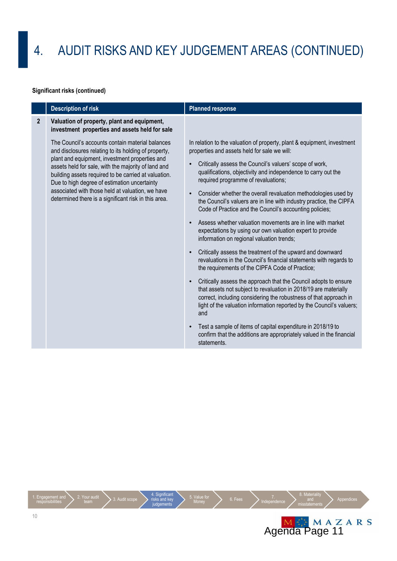#### **Significant risks (continued)**

|                | <b>Description of risk</b>                                                                                                                                                                                                                                                                                                                                                                                                            | <b>Planned response</b>                                                                                                                                                                                                                                                                                                                                                                                                                                                                                                                                                                                                                                                                                                                                                                                    |
|----------------|---------------------------------------------------------------------------------------------------------------------------------------------------------------------------------------------------------------------------------------------------------------------------------------------------------------------------------------------------------------------------------------------------------------------------------------|------------------------------------------------------------------------------------------------------------------------------------------------------------------------------------------------------------------------------------------------------------------------------------------------------------------------------------------------------------------------------------------------------------------------------------------------------------------------------------------------------------------------------------------------------------------------------------------------------------------------------------------------------------------------------------------------------------------------------------------------------------------------------------------------------------|
| $\overline{2}$ | Valuation of property, plant and equipment,<br>investment properties and assets held for sale                                                                                                                                                                                                                                                                                                                                         |                                                                                                                                                                                                                                                                                                                                                                                                                                                                                                                                                                                                                                                                                                                                                                                                            |
|                | The Council's accounts contain material balances<br>and disclosures relating to its holding of property,<br>plant and equipment, investment properties and<br>assets held for sale, with the majority of land and<br>building assets required to be carried at valuation.<br>Due to high degree of estimation uncertainty<br>associated with those held at valuation, we have<br>determined there is a significant risk in this area. | In relation to the valuation of property, plant & equipment, investment<br>properties and assets held for sale we will:<br>Critically assess the Council's valuers' scope of work,<br>qualifications, objectivity and independence to carry out the<br>required programme of revaluations;<br>Consider whether the overall revaluation methodologies used by<br>the Council's valuers are in line with industry practice, the CIPFA<br>Code of Practice and the Council's accounting policies;<br>Assess whether valuation movements are in line with market<br>expectations by using our own valuation expert to provide<br>information on regional valuation trends;<br>Critically assess the treatment of the upward and downward<br>revaluations in the Council's financial statements with regards to |
|                |                                                                                                                                                                                                                                                                                                                                                                                                                                       | the requirements of the CIPFA Code of Practice;<br>Critically assess the approach that the Council adopts to ensure<br>that assets not subject to revaluation in 2018/19 are materially<br>correct, including considering the robustness of that approach in<br>light of the valuation information reported by the Council's valuers;<br>and<br>Test a sample of items of capital expenditure in 2018/19 to<br>confirm that the additions are appropriately valued in the financial<br>statements.                                                                                                                                                                                                                                                                                                         |

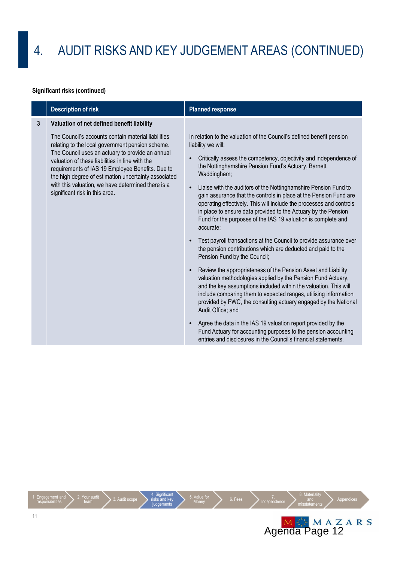#### **Significant risks (continued)**

|              | <b>Description of risk</b>                                                                                                                                                                                                                                                                                                                                                                                                                                       | <b>Planned response</b>                                                                                                                                                                                                                                                                                                                                                                                                                                                                                                                                                                               |
|--------------|------------------------------------------------------------------------------------------------------------------------------------------------------------------------------------------------------------------------------------------------------------------------------------------------------------------------------------------------------------------------------------------------------------------------------------------------------------------|-------------------------------------------------------------------------------------------------------------------------------------------------------------------------------------------------------------------------------------------------------------------------------------------------------------------------------------------------------------------------------------------------------------------------------------------------------------------------------------------------------------------------------------------------------------------------------------------------------|
| $\mathbf{3}$ | Valuation of net defined benefit liability<br>The Council's accounts contain material liabilities<br>relating to the local government pension scheme.<br>The Council uses an actuary to provide an annual<br>valuation of these liabilities in line with the<br>requirements of IAS 19 Employee Benefits. Due to<br>the high degree of estimation uncertainty associated<br>with this valuation, we have determined there is a<br>significant risk in this area. | In relation to the valuation of the Council's defined benefit pension<br>liability we will:<br>Critically assess the competency, objectivity and independence of<br>the Nottinghamshire Pension Fund's Actuary, Barnett<br>Waddingham;<br>Liaise with the auditors of the Nottinghamshire Pension Fund to<br>gain assurance that the controls in place at the Pension Fund are<br>operating effectively. This will include the processes and controls<br>in place to ensure data provided to the Actuary by the Pension<br>Fund for the purposes of the IAS 19 valuation is complete and<br>accurate; |
|              |                                                                                                                                                                                                                                                                                                                                                                                                                                                                  | Test payroll transactions at the Council to provide assurance over<br>the pension contributions which are deducted and paid to the<br>Pension Fund by the Council;                                                                                                                                                                                                                                                                                                                                                                                                                                    |
|              |                                                                                                                                                                                                                                                                                                                                                                                                                                                                  | Review the appropriateness of the Pension Asset and Liability<br>valuation methodologies applied by the Pension Fund Actuary,<br>and the key assumptions included within the valuation. This will<br>include comparing them to expected ranges, utilising information<br>provided by PWC, the consulting actuary engaged by the National<br>Audit Office; and                                                                                                                                                                                                                                         |
|              |                                                                                                                                                                                                                                                                                                                                                                                                                                                                  | Agree the data in the IAS 19 valuation report provided by the<br>Fund Actuary for accounting purposes to the pension accounting<br>entries and disclosures in the Council's financial statements.                                                                                                                                                                                                                                                                                                                                                                                                     |

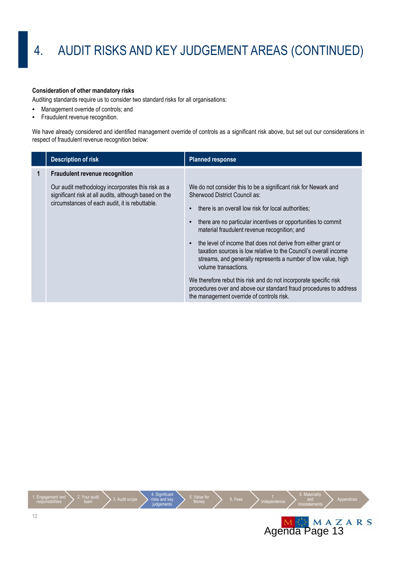#### **Consideration of other mandatory risks**

Auditing standards require us to consider two standard risks for all organisations:

- Management override of controls; and
- Fraudulent revenue recognition.

We have already considered and identified management override of controls as a significant risk above, but set out our considerations in respect of fraudulent revenue recognition below:

|   | <b>Description of risk</b>                                                                                                                                   | <b>Planned response</b>                                                                                                                                                                                                                                                                                                                                                                                                                                                                                                                                                                                                                                                                        |
|---|--------------------------------------------------------------------------------------------------------------------------------------------------------------|------------------------------------------------------------------------------------------------------------------------------------------------------------------------------------------------------------------------------------------------------------------------------------------------------------------------------------------------------------------------------------------------------------------------------------------------------------------------------------------------------------------------------------------------------------------------------------------------------------------------------------------------------------------------------------------------|
| 1 | <b>Fraudulent revenue recognition</b>                                                                                                                        |                                                                                                                                                                                                                                                                                                                                                                                                                                                                                                                                                                                                                                                                                                |
|   | Our audit methodology incorporates this risk as a<br>significant risk at all audits, although based on the<br>circumstances of each audit, it is rebuttable. | We do not consider this to be a significant risk for Newark and<br>Sherwood District Council as:<br>there is an overall low risk for local authorities;<br>there are no particular incentives or opportunities to commit<br>material fraudulent revenue recognition; and<br>the level of income that does not derive from either grant or<br>taxation sources is low relative to the Council's overall income<br>streams, and generally represents a number of low value, high<br>volume transactions.<br>We therefore rebut this risk and do not incorporate specific risk<br>procedures over and above our standard fraud procedures to address<br>the management override of controls risk. |

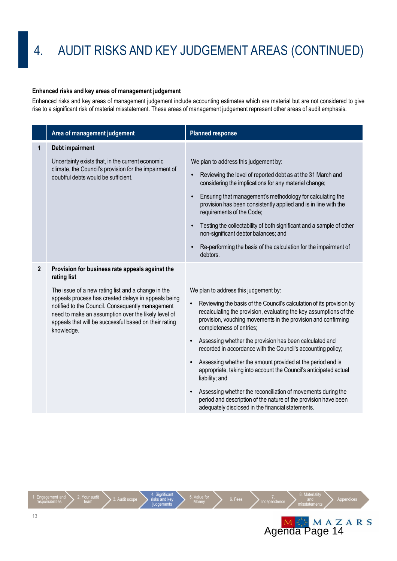#### **Enhanced risks and key areas of management judgement**

Enhanced risks and key areas of management judgement include accounting estimates which are material but are not considered to give rise to a significant risk of material misstatement. These areas of management judgement represent other areas of audit emphasis.

|                | Area of management judgement                                                                                                                                                                                                                                                                | <b>Planned response</b>                                                                                                                                                                                                                 |  |
|----------------|---------------------------------------------------------------------------------------------------------------------------------------------------------------------------------------------------------------------------------------------------------------------------------------------|-----------------------------------------------------------------------------------------------------------------------------------------------------------------------------------------------------------------------------------------|--|
| 1              | Debt impairment                                                                                                                                                                                                                                                                             |                                                                                                                                                                                                                                         |  |
|                | Uncertainty exists that, in the current economic<br>climate, the Council's provision for the impairment of<br>doubtful debts would be sufficient.                                                                                                                                           | We plan to address this judgement by:                                                                                                                                                                                                   |  |
|                |                                                                                                                                                                                                                                                                                             | Reviewing the level of reported debt as at the 31 March and<br>considering the implications for any material change;                                                                                                                    |  |
|                |                                                                                                                                                                                                                                                                                             | Ensuring that management's methodology for calculating the<br>provision has been consistently applied and is in line with the<br>requirements of the Code;                                                                              |  |
|                |                                                                                                                                                                                                                                                                                             | Testing the collectability of both significant and a sample of other<br>non-significant debtor balances; and                                                                                                                            |  |
|                |                                                                                                                                                                                                                                                                                             | Re-performing the basis of the calculation for the impairment of<br>debtors.                                                                                                                                                            |  |
| $\overline{2}$ | Provision for business rate appeals against the<br>rating list                                                                                                                                                                                                                              |                                                                                                                                                                                                                                         |  |
|                | The issue of a new rating list and a change in the<br>appeals process has created delays in appeals being<br>notified to the Council. Consequently management<br>need to make an assumption over the likely level of<br>appeals that will be successful based on their rating<br>knowledge. | We plan to address this judgement by:                                                                                                                                                                                                   |  |
|                |                                                                                                                                                                                                                                                                                             | Reviewing the basis of the Council's calculation of its provision by<br>recalculating the provision, evaluating the key assumptions of the<br>provision, vouching movements in the provision and confirming<br>completeness of entries; |  |
|                |                                                                                                                                                                                                                                                                                             | Assessing whether the provision has been calculated and<br>recorded in accordance with the Council's accounting policy;                                                                                                                 |  |
|                |                                                                                                                                                                                                                                                                                             | Assessing whether the amount provided at the period end is<br>appropriate, taking into account the Council's anticipated actual<br>liability; and                                                                                       |  |
|                |                                                                                                                                                                                                                                                                                             | Assessing whether the reconciliation of movements during the<br>period and description of the nature of the provision have been<br>adequately disclosed in the financial statements.                                                    |  |

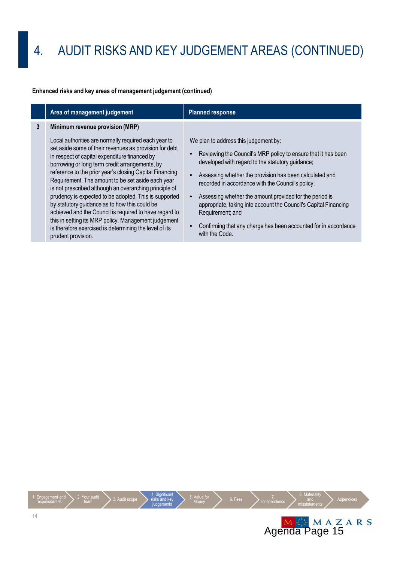#### **Enhanced risks and key areas of management judgement (continued)**

|   | Area of management judgement                                                                                                                                                                                                                                                                                                                                                                                                                                                                                                                                                                                                                                                                                                               | <b>Planned response</b>                                                                                                                                                                                                                                                                                                                                                                                                                                                                                            |
|---|--------------------------------------------------------------------------------------------------------------------------------------------------------------------------------------------------------------------------------------------------------------------------------------------------------------------------------------------------------------------------------------------------------------------------------------------------------------------------------------------------------------------------------------------------------------------------------------------------------------------------------------------------------------------------------------------------------------------------------------------|--------------------------------------------------------------------------------------------------------------------------------------------------------------------------------------------------------------------------------------------------------------------------------------------------------------------------------------------------------------------------------------------------------------------------------------------------------------------------------------------------------------------|
| 3 | Minimum revenue provision (MRP)<br>Local authorities are normally required each year to<br>set aside some of their revenues as provision for debt<br>in respect of capital expenditure financed by<br>borrowing or long term credit arrangements, by<br>reference to the prior year's closing Capital Financing<br>Requirement. The amount to be set aside each year<br>is not prescribed although an overarching principle of<br>prudency is expected to be adopted. This is supported<br>by statutory guidance as to how this could be<br>achieved and the Council is required to have regard to<br>this in setting its MRP policy. Management judgement<br>is therefore exercised is determining the level of its<br>prudent provision. | We plan to address this judgement by:<br>Reviewing the Council's MRP policy to ensure that it has been<br>developed with regard to the statutory guidance;<br>Assessing whether the provision has been calculated and<br>recorded in accordance with the Council's policy;<br>Assessing whether the amount provided for the period is<br>appropriate, taking into account the Council's Capital Financing<br>Requirement; and<br>Confirming that any charge has been accounted for in accordance<br>with the Code. |

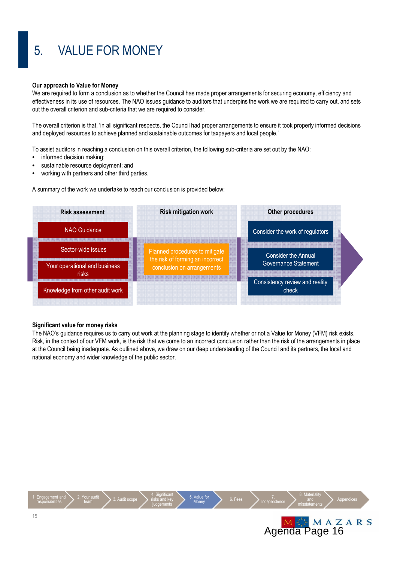# 5. VALUE FOR MONEY

#### **Our approach to Value for Money**

We are required to form a conclusion as to whether the Council has made proper arrangements for securing economy, efficiency and effectiveness in its use of resources. The NAO issues guidance to auditors that underpins the work we are required to carry out, and sets out the overall criterion and sub-criteria that we are required to consider.

The overall criterion is that, 'in all significant respects, the Council had proper arrangements to ensure it took properly informed decisions and deployed resources to achieve planned and sustainable outcomes for taxpayers and local people.'

To assist auditors in reaching a conclusion on this overall criterion, the following sub-criteria are set out by the NAO:

- informed decision making;
- sustainable resource deployment; and
- working with partners and other third parties.

A summary of the work we undertake to reach our conclusion is provided below:

| <b>Risk assessment</b>                 | <b>Risk mitigation work</b>                                    |  | <b>Other procedures</b>                 |  |
|----------------------------------------|----------------------------------------------------------------|--|-----------------------------------------|--|
| NAO Guidance                           |                                                                |  | Consider the work of regulators         |  |
| Sector-wide issues                     | Planned procedures to mitigate                                 |  | Consider the Annual                     |  |
| Your operational and business<br>risks | the risk of forming an incorrect<br>conclusion on arrangements |  | <b>Governance Statement</b>             |  |
| Knowledge from other audit work        |                                                                |  | Consistency review and reality<br>check |  |

#### **Significant value for money risks**

The NAO's guidance requires us to carry out work at the planning stage to identify whether or not a Value for Money (VFM) risk exists. Risk, in the context of our VFM work, is the risk that we come to an incorrect conclusion rather than the risk of the arrangements in place at the Council being inadequate. As outlined above, we draw on our deep understanding of the Council and its partners, the local and national economy and wider knowledge of the public sector.

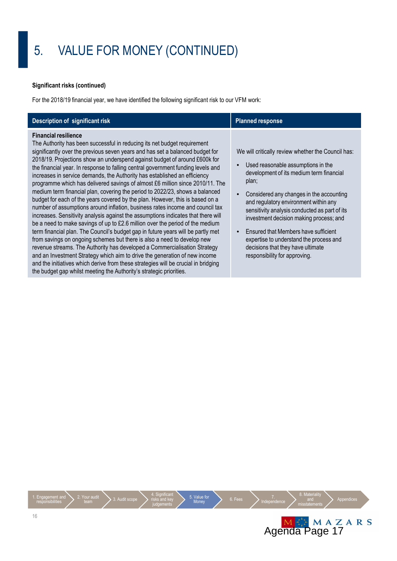### 5. VALUE FOR MONEY (CONTINUED)

#### **Significant risks (continued)**

For the 2018/19 financial year, we have identified the following significant risk to our VFM work:

| Description of significant risk                                                                                                                                                                                                                                                                                                                                                                                                                                                                                                                                                                                                                                                                                                                                                                                                                                                                                                                                                                                                                                                                                                                                                                                                                                                                                                                                                                                                         | <b>Planned response</b>                                                                                                                                                                                                                                                                                                                                                                                                                                                                 |  |
|-----------------------------------------------------------------------------------------------------------------------------------------------------------------------------------------------------------------------------------------------------------------------------------------------------------------------------------------------------------------------------------------------------------------------------------------------------------------------------------------------------------------------------------------------------------------------------------------------------------------------------------------------------------------------------------------------------------------------------------------------------------------------------------------------------------------------------------------------------------------------------------------------------------------------------------------------------------------------------------------------------------------------------------------------------------------------------------------------------------------------------------------------------------------------------------------------------------------------------------------------------------------------------------------------------------------------------------------------------------------------------------------------------------------------------------------|-----------------------------------------------------------------------------------------------------------------------------------------------------------------------------------------------------------------------------------------------------------------------------------------------------------------------------------------------------------------------------------------------------------------------------------------------------------------------------------------|--|
| <b>Financial resilience</b><br>The Authority has been successful in reducing its net budget requirement<br>significantly over the previous seven years and has set a balanced budget for<br>2018/19. Projections show an underspend against budget of around £600k for<br>the financial year. In response to falling central government funding levels and<br>increases in service demands, the Authority has established an efficiency<br>programme which has delivered savings of almost £6 million since 2010/11. The<br>medium term financial plan, covering the period to 2022/23, shows a balanced<br>budget for each of the years covered by the plan. However, this is based on a<br>number of assumptions around inflation, business rates income and council tax<br>increases. Sensitivity analysis against the assumptions indicates that there will<br>be a need to make savings of up to £2.6 million over the period of the medium<br>term financial plan. The Council's budget gap in future years will be partly met<br>from savings on ongoing schemes but there is also a need to develop new<br>revenue streams. The Authority has developed a Commercialisation Strategy<br>and an Investment Strategy which aim to drive the generation of new income<br>and the initiatives which derive from these strategies will be crucial in bridging<br>the budget gap whilst meeting the Authority's strategic priorities. | We will critically review whether the Council has:<br>Used reasonable assumptions in the<br>development of its medium term financial<br>plan;<br>Considered any changes in the accounting<br>and regulatory environment within any<br>sensitivity analysis conducted as part of its<br>investment decision making process; and<br>Ensured that Members have sufficient<br>expertise to understand the process and<br>decisions that they have ultimate<br>responsibility for approving. |  |

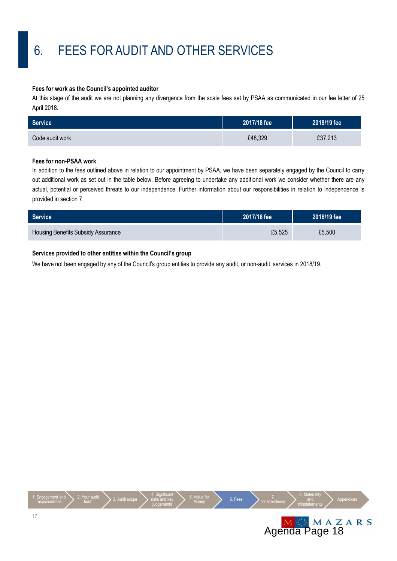## 6. FEES FOR AUDIT AND OTHER SERVICES

#### **Fees for work as the Council's appointed auditor**

At this stage of the audit we are not planning any divergence from the scale fees set by PSAA as communicated in our fee letter of 25 April 2018.

| Service <sup>1</sup> | 2017/18 fee | 2018/19 fee |
|----------------------|-------------|-------------|
| Code audit work      | £48,329     | £37,213     |

#### **Fees for non-PSAA work**

In addition to the fees outlined above in relation to our appointment by PSAA, we have been separately engaged by the Council to carry out additional work as set out in the table below. Before agreeing to undertake any additional work we consider whether there are any actual, potential or perceived threats to our independence. Further information about our responsibilities in relation to independence is provided in section 7.

| Service                            | 2017/18 fee | 2018/19 fee |
|------------------------------------|-------------|-------------|
| Housing Benefits Subsidy Assurance | £5,525      | £5,500      |

#### **Services provided to other entities within the Council's group**

We have not been engaged by any of the Council's group entities to provide any audit, or non-audit, services in 2018/19.

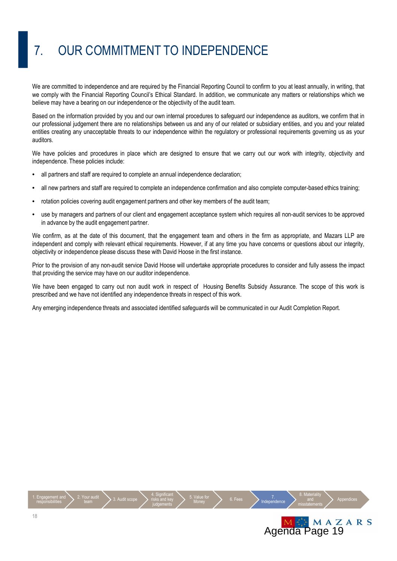## 7. OUR COMMITMENT TO INDEPENDENCE

We are committed to independence and are required by the Financial Reporting Council to confirm to you at least annually, in writing, that we comply with the Financial Reporting Council's Ethical Standard. In addition, we communicate any matters or relationships which we believe may have a bearing on our independence or the objectivity of the audit team.

Based on the information provided by you and our own internal procedures to safeguard our independence as auditors, we confirm that in our professional judgement there are no relationships between us and any of our related or subsidiary entities, and you and your related entities creating any unacceptable threats to our independence within the regulatory or professional requirements governing us as your auditors.

We have policies and procedures in place which are designed to ensure that we carry out our work with integrity, objectivity and independence. These policies include:

- all partners and staff are required to complete an annual independence declaration;
- all new partners and staff are required to complete an independence confirmation and also complete computer-based ethics training;
- rotation policies covering audit engagement partners and other key members of the audit team;
- use by managers and partners of our client and engagement acceptance system which requires all non-audit services to be approved in advance by the audit engagement partner.

We confirm, as at the date of this document, that the engagement team and others in the firm as appropriate, and Mazars LLP are independent and comply with relevant ethical requirements. However, if at any time you have concerns or questions about our integrity, objectivity or independence please discuss these with David Hoose in the first instance.

Prior to the provision of any non-audit service David Hoose will undertake appropriate procedures to consider and fully assess the impact that providing the service may have on our auditor independence.

We have been engaged to carry out non audit work in respect of Housing Benefits Subsidy Assurance. The scope of this work is prescribed and we have not identified any independence threats in respect of this work.

Any emerging independence threats and associated identified safeguards will be communicated in our Audit Completion Report.

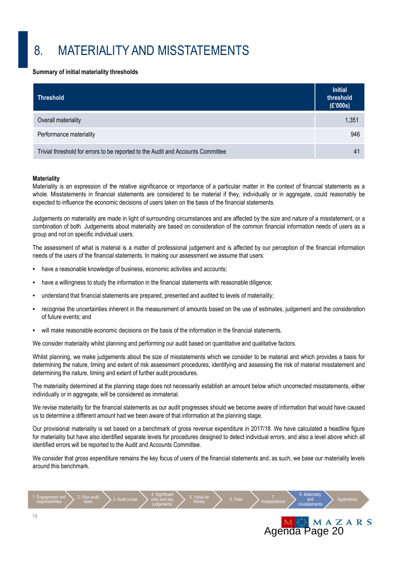### 8. MATERIALITY AND MISSTATEMENTS

#### **Summary of initial materiality thresholds**

| <b>Threshold</b>                                                                | <b>Initial</b><br>threshold<br>(E'000s) |
|---------------------------------------------------------------------------------|-----------------------------------------|
| Overall materiality                                                             | 1,351                                   |
| Performance materiality                                                         | 946                                     |
| Trivial threshold for errors to be reported to the Audit and Accounts Committee | 4 <sup>1</sup>                          |

#### **Materiality**

Materiality is an expression of the relative significance or importance of a particular matter in the context of financial statements as a whole. Misstatements in financial statements are considered to be material if they, individually or in aggregate, could reasonably be expected to influence the economic decisions of users taken on the basis of the financial statements.

Judgements on materiality are made in light of surrounding circumstances and are affected by the size and nature of a misstatement, or a combination of both. Judgements about materiality are based on consideration of the common financial information needs of users as a group and not on specific individual users.

The assessment of what is material is a matter of professional judgement and is affected by our perception of the financial information needs of the users of the financial statements. In making our assessment we assume that users:

- have a reasonable knowledge of business, economic activities and accounts;
- have a willingness to study the information in the financial statements with reasonable diligence;
- understand that financial statements are prepared, presented and audited to levels of materiality;
- recognise the uncertainties inherent in the measurement of amounts based on the use of estimates, judgement and the consideration of future events; and
- will make reasonable economic decisions on the basis of the information in the financial statements.

We consider materiality whilst planning and performing our audit based on quantitative and qualitative factors.

Whilst planning, we make judgements about the size of misstatements which we consider to be material and which provides a basis for determining the nature, timing and extent of risk assessment procedures, identifying and assessing the risk of material misstatement and determining the nature, timing and extent of further audit procedures.

The materiality determined at the planning stage does not necessarily establish an amount below which uncorrected misstatements, either individually or in aggregate, will be considered as immaterial.

We revise materiality for the financial statements as our audit progresses should we become aware of information that would have caused us to determine a different amount had we been aware of that information at the planning stage.

Our provisional materiality is set based on a benchmark of gross revenue expenditure in 2017/18. We have calculated a headline figure for materiality but have also identified separate levels for procedures designed to detect individual errors, and also a level above which all identified errors will be reported to the Audit and Accounts Committee.

We consider that gross expenditure remains the key focus of users of the financial statements and, as such, we base our materiality levels around this benchmark.

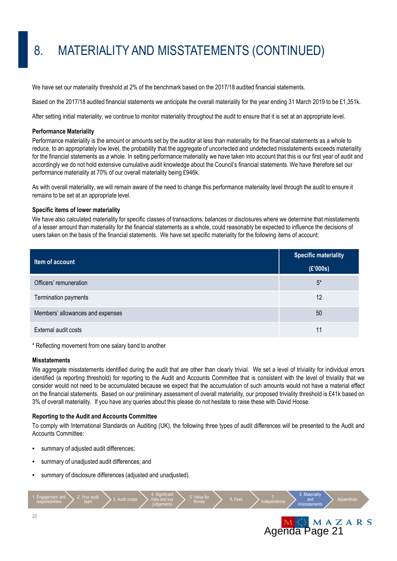## 8. MATERIALITY AND MISSTATEMENTS (CONTINUED)

We have set our materiality threshold at 2% of the benchmark based on the 2017/18 audited financial statements.

Based on the 2017/18 audited financial statements we anticipate the overall materiality for the year ending 31 March 2019 to be £1,351k.

After setting initial materiality, we continue to monitor materiality throughout the audit to ensure that it is set at an appropriate level.

#### **Performance Materiality**

Performance materiality is the amount or amounts set by the auditor at less than materiality for the financial statements as a whole to reduce, to an appropriately low level, the probability that the aggregate of uncorrected and undetected misstatements exceeds materiality for the financial statements as a whole. In setting performance materiality we have taken into account that this is our first year of audit and accordingly we do not hold extensive cumulative audit knowledge about the Council's financial statements. We have therefore set our performance materiality at 70% of our overall materiality being £946k.

As with overall materiality, we will remain aware of the need to change this performance materiality level through the audit to ensure it remains to be set at an appropriate level.

#### **Specific items of lower materiality**

We have also calculated materiality for specific classes of transactions, balances or disclosures where we determine that misstatements of a lesser amount than materiality for the financial statements as a whole, could reasonably be expected to influence the decisions of users taken on the basis of the financial statements. We have set specific materiality for the following items of account:

| Item of account                  | Specific materiality |  |
|----------------------------------|----------------------|--|
|                                  | (E'000s)             |  |
| Officers' remuneration           | $5*$                 |  |
| Termination payments             | 12                   |  |
| Members' allowances and expenses | 50                   |  |
| External audit costs             | 11                   |  |

\* Reflecting movement from one salary band to another

#### **Misstatements**

We aggregate misstatements identified during the audit that are other than clearly trivial. We set a level of triviality for individual errors identified (a reporting threshold) for reporting to the Audit and Accounts Committee that is consistent with the level of triviality that we consider would not need to be accumulated because we expect that the accumulation of such amounts would not have a material effect on the financial statements. Based on our preliminary assessment of overall materiality, our proposed triviality threshold is £41k based on 3% of overall materiality. If you have any queries about this please do not hesitate to raise these with David Hoose.

#### **Reporting to the Audit and Accounts Committee**

To comply with International Standards on Auditing (UK), the following three types of audit differences will be presented to the Audit and Accounts Committee:

- summary of adjusted audit differences;
- summary of unadjusted audit differences; and
- summary of disclosure differences (adjusted and unadjusted).

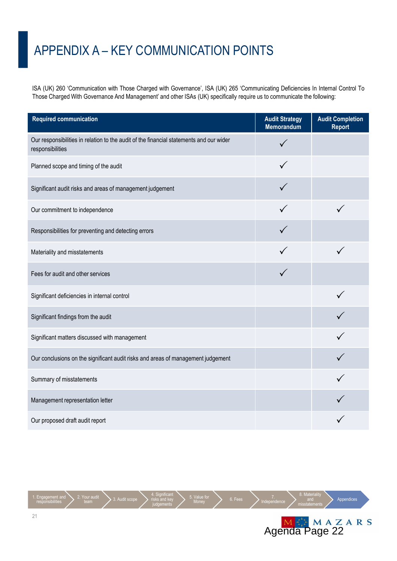# APPENDIX A – KEY COMMUNICATION POINTS

ISA (UK) 260 'Communication with Those Charged with Governance', ISA (UK) 265 'Communicating Deficiencies In Internal Control To Those Charged With Governance And Management' and other ISAs (UK) specifically require us to communicate the following:

| <b>Required communication</b>                                                                               | <b>Audit Strategy</b><br>Memorandum | <b>Audit Completion</b><br><b>Report</b> |
|-------------------------------------------------------------------------------------------------------------|-------------------------------------|------------------------------------------|
| Our responsibilities in relation to the audit of the financial statements and our wider<br>responsibilities |                                     |                                          |
| Planned scope and timing of the audit                                                                       |                                     |                                          |
| Significant audit risks and areas of management judgement                                                   |                                     |                                          |
| Our commitment to independence                                                                              |                                     |                                          |
| Responsibilities for preventing and detecting errors                                                        |                                     |                                          |
| Materiality and misstatements                                                                               |                                     |                                          |
| Fees for audit and other services                                                                           |                                     |                                          |
| Significant deficiencies in internal control                                                                |                                     |                                          |
| Significant findings from the audit                                                                         |                                     |                                          |
| Significant matters discussed with management                                                               |                                     |                                          |
| Our conclusions on the significant audit risks and areas of management judgement                            |                                     |                                          |
| Summary of misstatements                                                                                    |                                     |                                          |
| Management representation letter                                                                            |                                     |                                          |
| Our proposed draft audit report                                                                             |                                     |                                          |

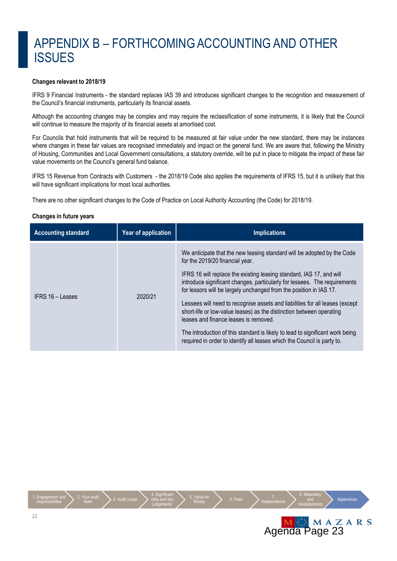### APPENDIX B – FORTHCOMING ACCOUNTING AND OTHER **ISSUES**

#### **Changes relevant to 2018/19**

IFRS 9 Financial Instruments - the standard replaces IAS 39 and introduces significant changes to the recognition and measurement of the Council's financial instruments, particularly its financial assets.

Although the accounting changes may be complex and may require the reclassification of some instruments, it is likely that the Council will continue to measure the majority of its financial assets at amortised cost.

For Councils that hold instruments that will be required to be measured at fair value under the new standard, there may be instances where changes in these fair values are recognised immediately and impact on the general fund. We are aware that, following the Ministry of Housing, Communities and Local Government consultations, a statutory override, will be put in place to mitigate the impact of these fair value movements on the Council's general fund balance.

IFRS 15 Revenue from Contracts with Customers - the 2018/19 Code also applies the requirements of IFRS 15, but it is unlikely that this will have significant implications for most local authorities.

There are no other significant changes to the Code of Practice on Local Authority Accounting (the Code) for 2018/19.

#### **Changes in future years**

| <b>Accounting standard</b> | Year of application | <b>Implications</b>                                                                                                                                                                                                                                                                                                                                                                                                                                                                                                                                                                                                                                                                                |
|----------------------------|---------------------|----------------------------------------------------------------------------------------------------------------------------------------------------------------------------------------------------------------------------------------------------------------------------------------------------------------------------------------------------------------------------------------------------------------------------------------------------------------------------------------------------------------------------------------------------------------------------------------------------------------------------------------------------------------------------------------------------|
| IFRS 16 – Leases           | 2020/21             | We anticipate that the new leasing standard will be adopted by the Code<br>for the 2019/20 financial year.<br>IFRS 16 will replace the existing leasing standard, IAS 17, and will<br>introduce significant changes, particularly for lessees. The requirements<br>for lessors will be largely unchanged from the position in IAS 17.<br>Lessees will need to recognise assets and liabilities for all leases (except<br>short-life or low-value leases) as the distinction between operating<br>leases and finance leases is removed.<br>The introduction of this standard is likely to lead to significant work being<br>required in order to identify all leases which the Council is party to. |